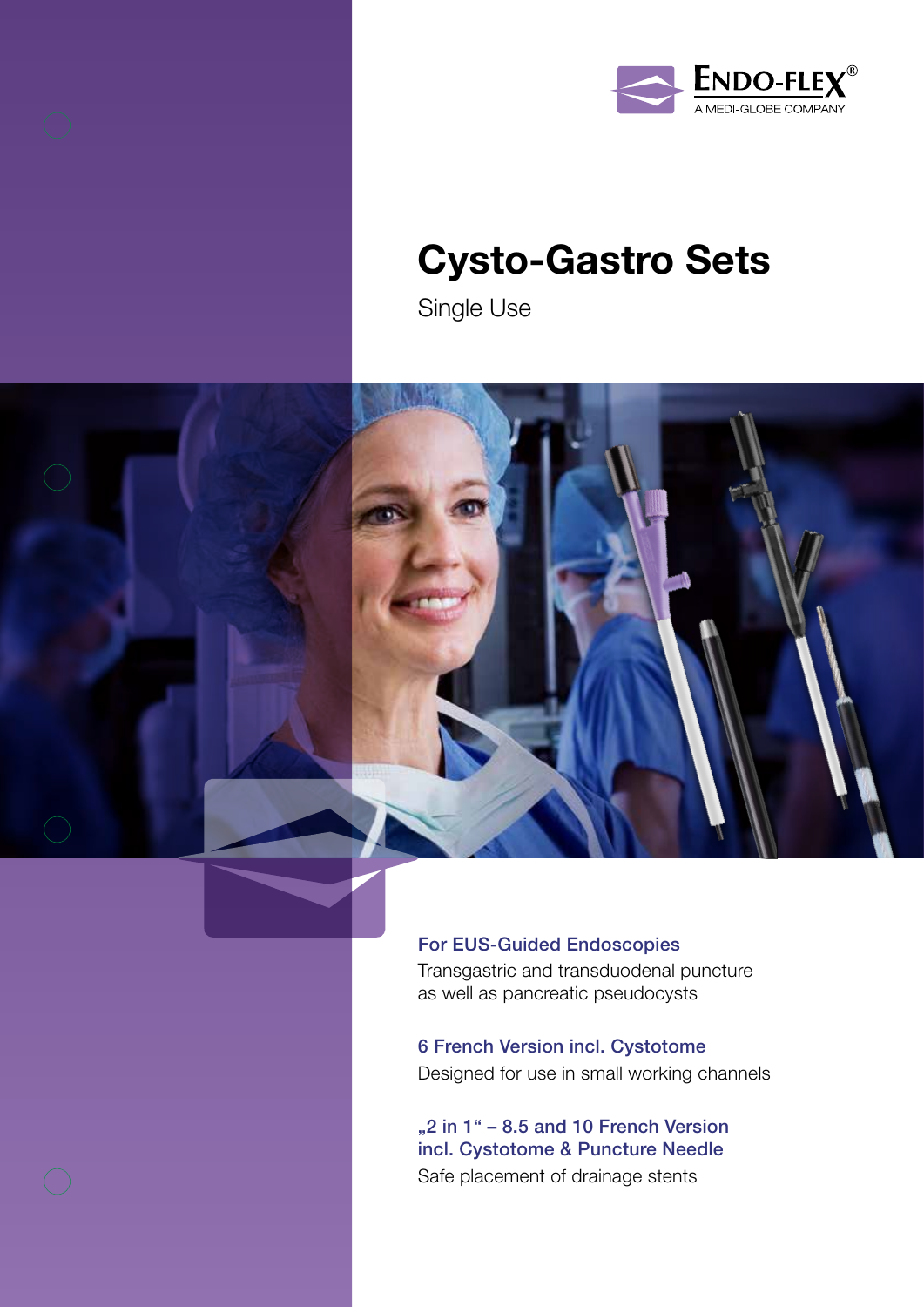



# Cysto-Gastro Sets

Single Use



## For EUS-Guided Endoscopies Transgastric and transduodenal puncture

as well as pancreatic pseudocysts

6 French Version incl. Cystotome Designed for use in small working channels

"2 in  $1" - 8.5$  and 10 French Version incl. Cystotome & Puncture Needle Safe placement of drainage stents